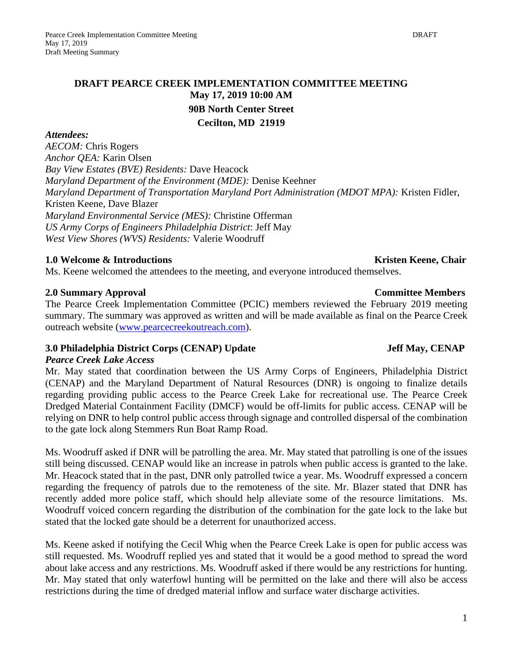1

## **DRAFT PEARCE CREEK IMPLEMENTATION COMMITTEE MEETING May 17, 2019 10:00 AM 90B North Center Street Cecilton, MD 21919**

#### *Attendees:*

*AECOM:* Chris Rogers *Anchor QEA:* Karin Olsen *Bay View Estates (BVE) Residents:* Dave Heacock *Maryland Department of the Environment (MDE):* Denise Keehner *Maryland Department of Transportation Maryland Port Administration (MDOT MPA):* Kristen Fidler, Kristen Keene, Dave Blazer *Maryland Environmental Service (MES):* Christine Offerman *US Army Corps of Engineers Philadelphia District*: Jeff May *West View Shores (WVS) Residents:* Valerie Woodruff

#### **1.0 Welcome & Introductions Chair <b>Kristen Keene**, Chair **Kristen Keene**, Chair

Ms. Keene welcomed the attendees to the meeting, and everyone introduced themselves.

### **2.0 Summary Approval Committee Members**

The Pearce Creek Implementation Committee (PCIC) members reviewed the February 2019 meeting summary. The summary was approved as written and will be made available as final on the Pearce Creek outreach website [\(www.pearcecreekoutreach.com\)](http://www.pearcecreekoutreach.com/).

### **3.0** Philadelphia District Corps (CENAP) Update Jean Jeff May, CENAP

#### *Pearce Creek Lake Access*

Mr. May stated that coordination between the US Army Corps of Engineers, Philadelphia District (CENAP) and the Maryland Department of Natural Resources (DNR) is ongoing to finalize details regarding providing public access to the Pearce Creek Lake for recreational use. The Pearce Creek Dredged Material Containment Facility (DMCF) would be off-limits for public access. CENAP will be relying on DNR to help control public access through signage and controlled dispersal of the combination to the gate lock along Stemmers Run Boat Ramp Road.

Ms. Woodruff asked if DNR will be patrolling the area. Mr. May stated that patrolling is one of the issues still being discussed. CENAP would like an increase in patrols when public access is granted to the lake. Mr. Heacock stated that in the past, DNR only patrolled twice a year. Ms. Woodruff expressed a concern regarding the frequency of patrols due to the remoteness of the site. Mr. Blazer stated that DNR has recently added more police staff, which should help alleviate some of the resource limitations. Ms. Woodruff voiced concern regarding the distribution of the combination for the gate lock to the lake but stated that the locked gate should be a deterrent for unauthorized access.

Ms. Keene asked if notifying the Cecil Whig when the Pearce Creek Lake is open for public access was still requested. Ms. Woodruff replied yes and stated that it would be a good method to spread the word about lake access and any restrictions. Ms. Woodruff asked if there would be any restrictions for hunting. Mr. May stated that only waterfowl hunting will be permitted on the lake and there will also be access restrictions during the time of dredged material inflow and surface water discharge activities.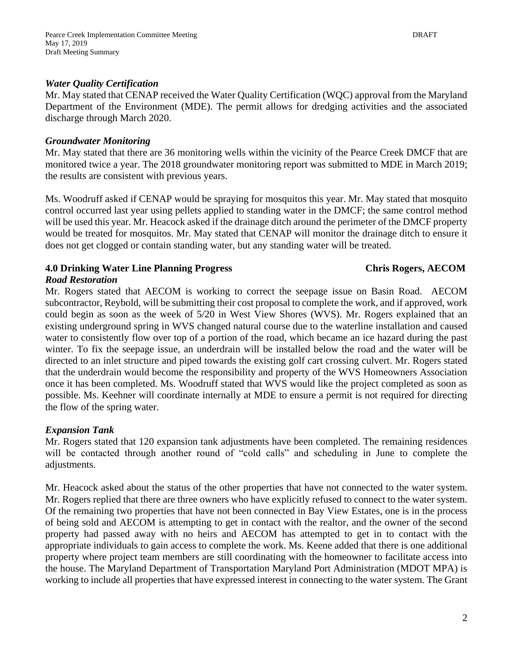### *Water Quality Certification*

Mr. May stated that CENAP received the Water Quality Certification (WQC) approval from the Maryland Department of the Environment (MDE). The permit allows for dredging activities and the associated discharge through March 2020.

#### *Groundwater Monitoring*

Mr. May stated that there are 36 monitoring wells within the vicinity of the Pearce Creek DMCF that are monitored twice a year. The 2018 groundwater monitoring report was submitted to MDE in March 2019; the results are consistent with previous years.

Ms. Woodruff asked if CENAP would be spraying for mosquitos this year. Mr. May stated that mosquito control occurred last year using pellets applied to standing water in the DMCF; the same control method will be used this year. Mr. Heacock asked if the drainage ditch around the perimeter of the DMCF property would be treated for mosquitos. Mr. May stated that CENAP will monitor the drainage ditch to ensure it does not get clogged or contain standing water, but any standing water will be treated.

### **4.0 Drinking Water Line Planning Progress Chris Rogers, AECOM**

### *Road Restoration*

Mr. Rogers stated that AECOM is working to correct the seepage issue on Basin Road. AECOM subcontractor, Reybold, will be submitting their cost proposal to complete the work, and if approved, work could begin as soon as the week of 5/20 in West View Shores (WVS). Mr. Rogers explained that an existing underground spring in WVS changed natural course due to the waterline installation and caused water to consistently flow over top of a portion of the road, which became an ice hazard during the past winter. To fix the seepage issue, an underdrain will be installed below the road and the water will be directed to an inlet structure and piped towards the existing golf cart crossing culvert. Mr. Rogers stated that the underdrain would become the responsibility and property of the WVS Homeowners Association once it has been completed. Ms. Woodruff stated that WVS would like the project completed as soon as possible. Ms. Keehner will coordinate internally at MDE to ensure a permit is not required for directing the flow of the spring water.

### *Expansion Tank*

Mr. Rogers stated that 120 expansion tank adjustments have been completed. The remaining residences will be contacted through another round of "cold calls" and scheduling in June to complete the adjustments.

Mr. Heacock asked about the status of the other properties that have not connected to the water system. Mr. Rogers replied that there are three owners who have explicitly refused to connect to the water system. Of the remaining two properties that have not been connected in Bay View Estates, one is in the process of being sold and AECOM is attempting to get in contact with the realtor, and the owner of the second property had passed away with no heirs and AECOM has attempted to get in to contact with the appropriate individuals to gain access to complete the work. Ms. Keene added that there is one additional property where project team members are still coordinating with the homeowner to facilitate access into the house. The Maryland Department of Transportation Maryland Port Administration (MDOT MPA) is working to include all properties that have expressed interest in connecting to the water system. The Grant